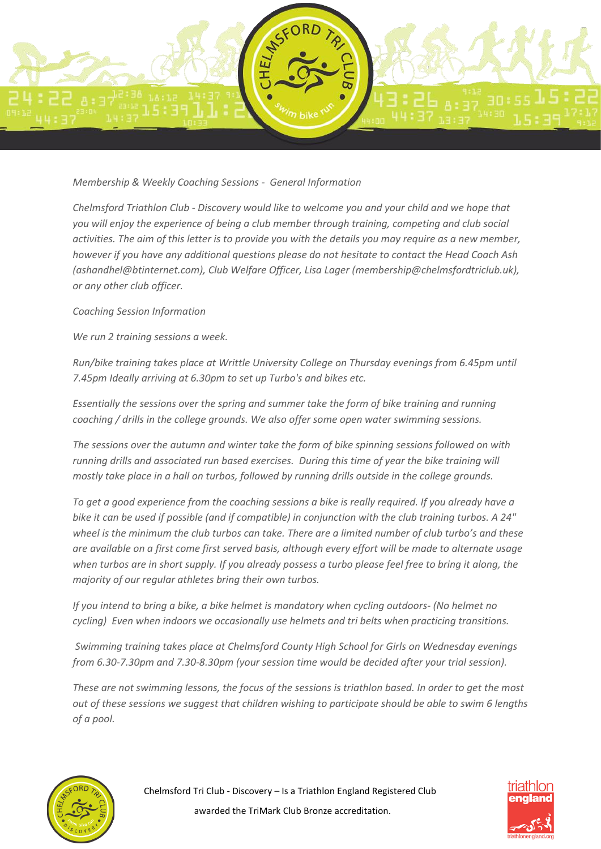

## *Membership & Weekly Coaching Sessions - General Information*

*Chelmsford Triathlon Club - Discovery would like to welcome you and your child and we hope that you will enjoy the experience of being a club member through training, competing and club social activities. The aim of this letter is to provide you with the details you may require as a new member, however if you have any additional questions please do not hesitate to contact the Head Coach Ash (ashandhel@btinternet.com), Club Welfare Officer, Lisa Lager (membership@chelmsfordtriclub.uk), or any other club officer.* 

*Coaching Session Information* 

*We run 2 training sessions a week.*

*Run/bike training takes place at Writtle University College on Thursday evenings from 6.45pm until 7.45pm Ideally arriving at 6.30pm to set up Turbo's and bikes etc.* 

*Essentially the sessions over the spring and summer take the form of bike training and running coaching / drills in the college grounds. We also offer some open water swimming sessions.* 

*The sessions over the autumn and winter take the form of bike spinning sessions followed on with running drills and associated run based exercises. During this time of year the bike training will mostly take place in a hall on turbos, followed by running drills outside in the college grounds.*

*To get a good experience from the coaching sessions a bike is really required. If you already have a bike it can be used if possible (and if compatible) in conjunction with the club training turbos. A 24" wheel is the minimum the club turbos can take. There are a limited number of club turbo's and these are available on a first come first served basis, although every effort will be made to alternate usage when turbos are in short supply. If you already possess a turbo please feel free to bring it along, the majority of our regular athletes bring their own turbos.* 

*If you intend to bring a bike, a bike helmet is mandatory when cycling outdoors- (No helmet no cycling) Even when indoors we occasionally use helmets and tri belts when practicing transitions.* 

*Swimming training takes place at Chelmsford County High School for Girls on Wednesday evenings from 6.30-7.30pm and 7.30-8.30pm (your session time would be decided after your trial session).* 

*These are not swimming lessons, the focus of the sessions is triathlon based. In order to get the most out of these sessions we suggest that children wishing to participate should be able to swim 6 lengths of a pool.*